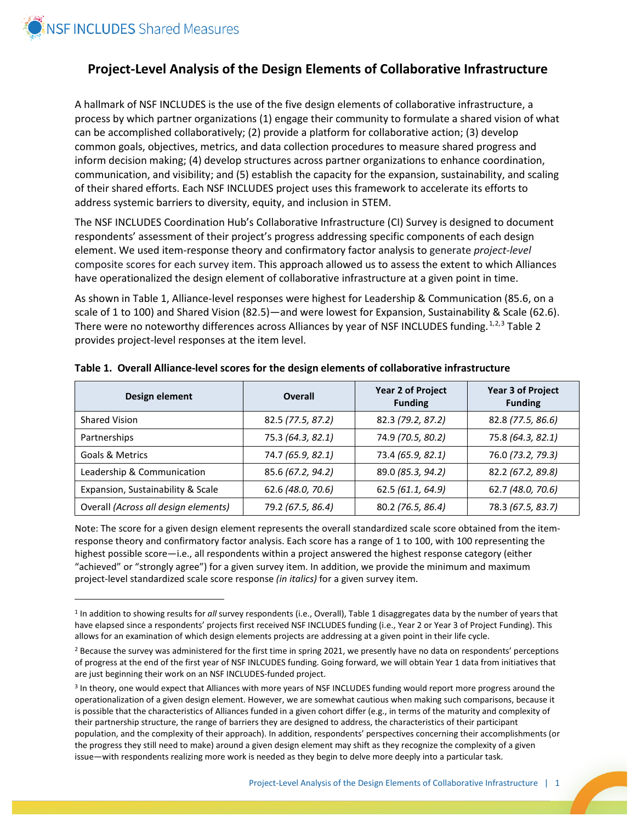

 $\overline{\phantom{a}}$ 

# **Project-Level Analysis of the Design Elements of Collaborative Infrastructure**

A hallmark of NSF INCLUDES is the use of the five design elements of collaborative infrastructure, a process by which partner organizations (1) engage their community to formulate a shared vision of what can be accomplished collaboratively; (2) provide a platform for collaborative action; (3) develop common goals, objectives, metrics, and data collection procedures to measure shared progress and inform decision making; (4) develop structures across partner organizations to enhance coordination, communication, and visibility; and (5) establish the capacity for the expansion, sustainability, and scaling of their shared efforts. Each NSF INCLUDES project uses this framework to accelerate its efforts to address systemic barriers to diversity, equity, and inclusion in STEM.

The NSF INCLUDES Coordination Hub's Collaborative Infrastructure (CI) Survey is designed to document respondents' assessment of their project's progress addressing specific components of each design element. We used item-response theory and confirmatory factor analysis to generate *project-level* composite scores for each survey item. This approach allowed us to assess the extent to which Alliances have operationalized the design element of collaborative infrastructure at a given point in time.

As shown in Table 1, Alliance-level responses were highest for Leadership & Communication (85.6, on a scale of 1 to 100) and Shared Vision (82.5)—and were lowest for Expansion, Sustainability & Scale (62.6). There were no noteworthy differences across Alliances by year of NSF INCLUDES funding.<sup>[1,](#page-0-0)[2](#page-0-1),[3](#page-0-2)</sup> Table 2 provides project-level responses at the item level.

| Design element                       | Overall           | <b>Year 2 of Project</b><br><b>Funding</b> | <b>Year 3 of Project</b><br><b>Funding</b> |
|--------------------------------------|-------------------|--------------------------------------------|--------------------------------------------|
| <b>Shared Vision</b>                 | 82.5 (77.5, 87.2) | 82.3 (79.2, 87.2)                          | 82.8 (77.5, 86.6)                          |
| Partnerships                         | 75.3 (64.3, 82.1) | 74.9 (70.5, 80.2)                          | 75.8 (64.3, 82.1)                          |
| <b>Goals &amp; Metrics</b>           | 74.7 (65.9, 82.1) | 73.4 (65.9, 82.1)                          | 76.0 (73.2, 79.3)                          |
| Leadership & Communication           | 85.6 (67.2, 94.2) | 89.0 (85.3, 94.2)                          | 82.2 (67.2, 89.8)                          |
| Expansion, Sustainability & Scale    | 62.6 (48.0, 70.6) | 62.5 (61.1, 64.9)                          | 62.7 (48.0, 70.6)                          |
| Overall (Across all design elements) | 79.2 (67.5, 86.4) | 80.2 (76.5, 86.4)                          | 78.3 (67.5, 83.7)                          |

#### **Table 1. Overall Alliance-level scores for the design elements of collaborative infrastructure**

Note: The score for a given design element represents the overall standardized scale score obtained from the itemresponse theory and confirmatory factor analysis. Each score has a range of 1 to 100, with 100 representing the highest possible score—i.e., all respondents within a project answered the highest response category (either "achieved" or "strongly agree") for a given survey item. In addition, we provide the minimum and maximum project-level standardized scale score response *(in italics)* for a given survey item.

<span id="page-0-0"></span><sup>1</sup> In addition to showing results for *all* survey respondents (i.e., Overall), Table 1 disaggregates data by the number of years that have elapsed since a respondents' projects first received NSF INCLUDES funding (i.e., Year 2 or Year 3 of Project Funding). This allows for an examination of which design elements projects are addressing at a given point in their life cycle.

<span id="page-0-1"></span><sup>&</sup>lt;sup>2</sup> Because the survey was administered for the first time in spring 2021, we presently have no data on respondents' perceptions of progress at the end of the first year of NSF INLCUDES funding. Going forward, we will obtain Year 1 data from initiatives that are just beginning their work on an NSF INCLUDES-funded project.

<span id="page-0-2"></span><sup>3</sup> In theory, one would expect that Alliances with more years of NSF INCLUDES funding would report more progress around the operationalization of a given design element. However, we are somewhat cautious when making such comparisons, because it is possible that the characteristics of Alliances funded in a given cohort differ (e.g., in terms of the maturity and complexity of their partnership structure, the range of barriers they are designed to address, the characteristics of their participant population, and the complexity of their approach). In addition, respondents' perspectives concerning their accomplishments (or the progress they still need to make) around a given design element may shift as they recognize the complexity of a given issue—with respondents realizing more work is needed as they begin to delve more deeply into a particular task.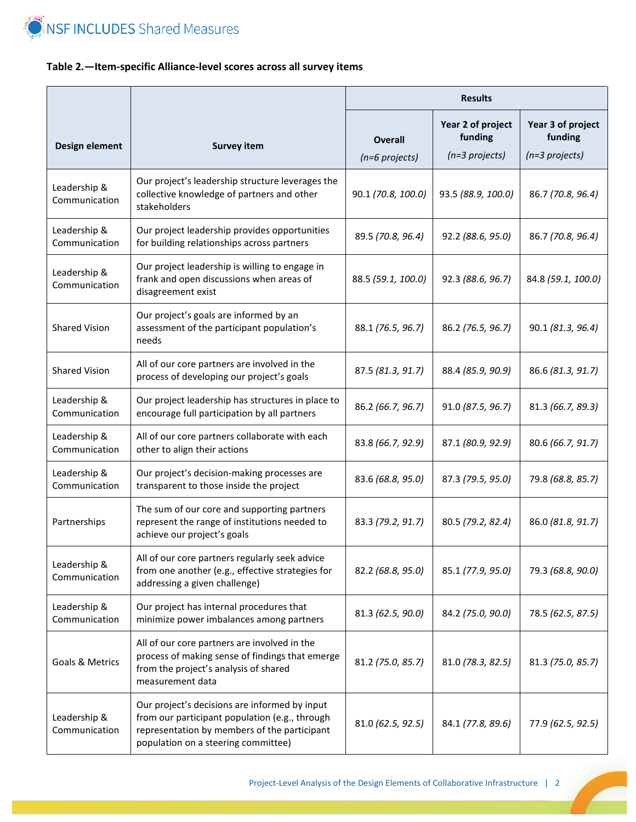

## **Table 2.—Item-specific Alliance-level scores across all survey items**

|                               |                                                                                                                                                                                        | <b>Results</b>                     |                                                   |                                                   |
|-------------------------------|----------------------------------------------------------------------------------------------------------------------------------------------------------------------------------------|------------------------------------|---------------------------------------------------|---------------------------------------------------|
| Design element                | <b>Survey item</b>                                                                                                                                                                     | <b>Overall</b><br>$(n=6$ projects) | Year 2 of project<br>funding<br>$(n=3)$ projects) | Year 3 of project<br>funding<br>$(n=3)$ projects) |
| Leadership &<br>Communication | Our project's leadership structure leverages the<br>collective knowledge of partners and other<br>stakeholders                                                                         | 90.1 (70.8, 100.0)                 | 93.5 (88.9, 100.0)                                | 86.7 (70.8, 96.4)                                 |
| Leadership &<br>Communication | Our project leadership provides opportunities<br>for building relationships across partners                                                                                            | 89.5 (70.8, 96.4)                  | 92.2 (88.6, 95.0)                                 | 86.7 (70.8, 96.4)                                 |
| Leadership &<br>Communication | Our project leadership is willing to engage in<br>frank and open discussions when areas of<br>disagreement exist                                                                       | 88.5 (59.1, 100.0)                 | 92.3 (88.6, 96.7)                                 | 84.8 (59.1, 100.0)                                |
| <b>Shared Vision</b>          | Our project's goals are informed by an<br>assessment of the participant population's<br>needs                                                                                          | 88.1 (76.5, 96.7)                  | 86.2 (76.5, 96.7)                                 | 90.1 (81.3, 96.4)                                 |
| <b>Shared Vision</b>          | All of our core partners are involved in the<br>process of developing our project's goals                                                                                              | 87.5 (81.3, 91.7)                  | 88.4 (85.9, 90.9)                                 | 86.6 (81.3, 91.7)                                 |
| Leadership &<br>Communication | Our project leadership has structures in place to<br>encourage full participation by all partners                                                                                      | 86.2 (66.7, 96.7)                  | 91.0 (87.5, 96.7)                                 | 81.3 (66.7, 89.3)                                 |
| Leadership &<br>Communication | All of our core partners collaborate with each<br>other to align their actions                                                                                                         | 83.8 (66.7, 92.9)                  | 87.1 (80.9, 92.9)                                 | 80.6 (66.7, 91.7)                                 |
| Leadership &<br>Communication | Our project's decision-making processes are<br>transparent to those inside the project                                                                                                 | 83.6 (68.8, 95.0)                  | 87.3 (79.5, 95.0)                                 | 79.8 (68.8, 85.7)                                 |
| Partnerships                  | The sum of our core and supporting partners<br>represent the range of institutions needed to<br>achieve our project's goals                                                            | 83.3 (79.2, 91.7)                  | 80.5 (79.2, 82.4)                                 | 86.0 (81.8, 91.7)                                 |
| Leadership &<br>Communication | All of our core partners regularly seek advice<br>from one another (e.g., effective strategies for<br>addressing a given challenge)                                                    | 82.2 (68.8, 95.0)                  | 85.1 (77.9, 95.0)                                 | 79.3 (68.8, 90.0)                                 |
| Leadership &<br>Communication | Our project has internal procedures that<br>minimize power imbalances among partners                                                                                                   | 81.3 (62.5, 90.0)                  | 84.2 (75.0, 90.0)                                 | 78.5 (62.5, 87.5)                                 |
| Goals & Metrics               | All of our core partners are involved in the<br>process of making sense of findings that emerge<br>from the project's analysis of shared<br>measurement data                           | 81.2 (75.0, 85.7)                  | 81.0 (78.3, 82.5)                                 | 81.3 (75.0, 85.7)                                 |
| Leadership &<br>Communication | Our project's decisions are informed by input<br>from our participant population (e.g., through<br>representation by members of the participant<br>population on a steering committee) | 81.0 (62.5, 92.5)                  | 84.1 (77.8, 89.6)                                 | 77.9 (62.5, 92.5)                                 |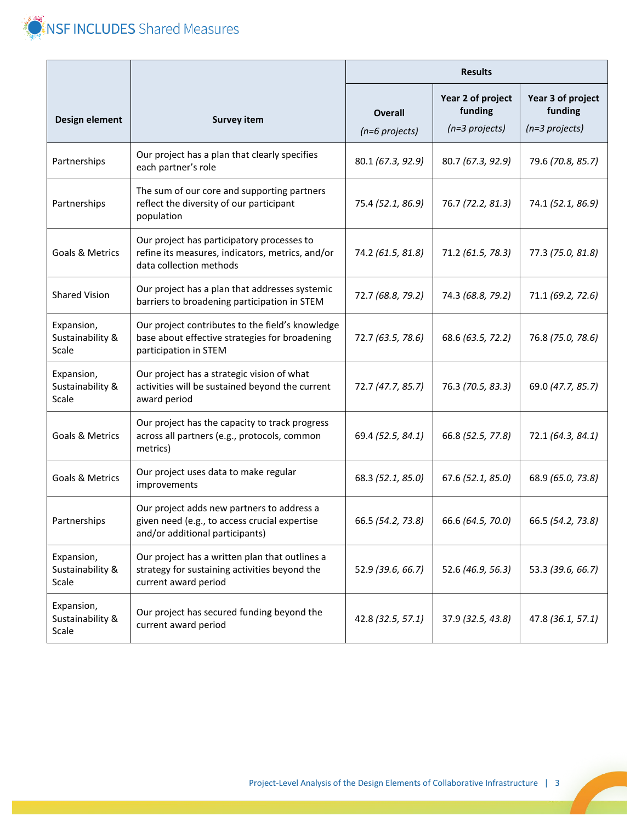

|                                         |                                                                                                                                | <b>Results</b>                   |                                                  |                                                   |
|-----------------------------------------|--------------------------------------------------------------------------------------------------------------------------------|----------------------------------|--------------------------------------------------|---------------------------------------------------|
| Design element                          | <b>Survey item</b>                                                                                                             | <b>Overall</b><br>(n=6 projects) | Year 2 of project<br>funding<br>$(n=3$ projects) | Year 3 of project<br>funding<br>$(n=3)$ projects) |
| Partnerships                            | Our project has a plan that clearly specifies<br>each partner's role                                                           | 80.1 (67.3, 92.9)                | 80.7 (67.3, 92.9)                                | 79.6 (70.8, 85.7)                                 |
| Partnerships                            | The sum of our core and supporting partners<br>reflect the diversity of our participant<br>population                          | 75.4 (52.1, 86.9)                | 76.7 (72.2, 81.3)                                | 74.1 (52.1, 86.9)                                 |
| Goals & Metrics                         | Our project has participatory processes to<br>refine its measures, indicators, metrics, and/or<br>data collection methods      | 74.2 (61.5, 81.8)                | 71.2 (61.5, 78.3)                                | 77.3 (75.0, 81.8)                                 |
| <b>Shared Vision</b>                    | Our project has a plan that addresses systemic<br>barriers to broadening participation in STEM                                 | 72.7 (68.8, 79.2)                | 74.3 (68.8, 79.2)                                | 71.1 (69.2, 72.6)                                 |
| Expansion,<br>Sustainability &<br>Scale | Our project contributes to the field's knowledge<br>base about effective strategies for broadening<br>participation in STEM    | 72.7 (63.5, 78.6)                | 68.6 (63.5, 72.2)                                | 76.8 (75.0, 78.6)                                 |
| Expansion,<br>Sustainability &<br>Scale | Our project has a strategic vision of what<br>activities will be sustained beyond the current<br>award period                  | 72.7 (47.7, 85.7)                | 76.3 (70.5, 83.3)                                | 69.0 (47.7, 85.7)                                 |
| Goals & Metrics                         | Our project has the capacity to track progress<br>across all partners (e.g., protocols, common<br>metrics)                     | 69.4 (52.5, 84.1)                | 66.8 (52.5, 77.8)                                | 72.1 (64.3, 84.1)                                 |
| Goals & Metrics                         | Our project uses data to make regular<br>improvements                                                                          | 68.3 (52.1, 85.0)                | 67.6 (52.1, 85.0)                                | 68.9 (65.0, 73.8)                                 |
| Partnerships                            | Our project adds new partners to address a<br>given need (e.g., to access crucial expertise<br>and/or additional participants) | 66.5 (54.2, 73.8)                | 66.6 (64.5, 70.0)                                | 66.5 (54.2, 73.8)                                 |
| Expansion,<br>Sustainability &<br>Scale | Our project has a written plan that outlines a<br>strategy for sustaining activities beyond the<br>current award period        | 52.9 (39.6, 66.7)                | 52.6 (46.9, 56.3)                                | 53.3 (39.6, 66.7)                                 |
| Expansion,<br>Sustainability &<br>Scale | Our project has secured funding beyond the<br>current award period                                                             | 42.8 (32.5, 57.1)                | 37.9 (32.5, 43.8)                                | 47.8 (36.1, 57.1)                                 |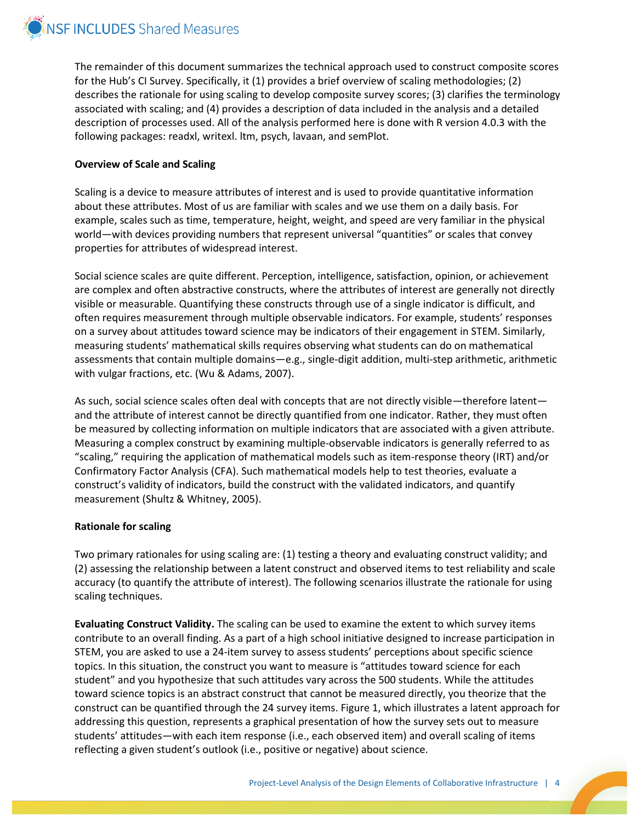

The remainder of this document summarizes the technical approach used to construct composite scores for the Hub's CI Survey. Specifically, it (1) provides a brief overview of scaling methodologies; (2) describes the rationale for using scaling to develop composite survey scores; (3) clarifies the terminology associated with scaling; and (4) provides a description of data included in the analysis and a detailed description of processes used. All of the analysis performed here is done with R version 4.0.3 with the following packages: readxl, writexl. ltm, psych, lavaan, and semPlot.

#### **Overview of Scale and Scaling**

Scaling is a device to measure attributes of interest and is used to provide quantitative information about these attributes. Most of us are familiar with scales and we use them on a daily basis. For example, scales such as time, temperature, height, weight, and speed are very familiar in the physical world—with devices providing numbers that represent universal "quantities" or scales that convey properties for attributes of widespread interest.

Social science scales are quite different. Perception, intelligence, satisfaction, opinion, or achievement are complex and often abstractive constructs, where the attributes of interest are generally not directly visible or measurable. Quantifying these constructs through use of a single indicator is difficult, and often requires measurement through multiple observable indicators. For example, students' responses on a survey about attitudes toward science may be indicators of their engagement in STEM. Similarly, measuring students' mathematical skills requires observing what students can do on mathematical assessments that contain multiple domains—e.g., single-digit addition, multi-step arithmetic, arithmetic with vulgar fractions, etc. (Wu & Adams, 2007).

As such, social science scales often deal with concepts that are not directly visible—therefore latent and the attribute of interest cannot be directly quantified from one indicator. Rather, they must often be measured by collecting information on multiple indicators that are associated with a given attribute. Measuring a complex construct by examining multiple-observable indicators is generally referred to as "scaling," requiring the application of mathematical models such as item-response theory (IRT) and/or Confirmatory Factor Analysis (CFA). Such mathematical models help to test theories, evaluate a construct's validity of indicators, build the construct with the validated indicators, and quantify measurement (Shultz & Whitney, 2005).

#### **Rationale for scaling**

Two primary rationales for using scaling are: (1) testing a theory and evaluating construct validity; and (2) assessing the relationship between a latent construct and observed items to test reliability and scale accuracy (to quantify the attribute of interest). The following scenarios illustrate the rationale for using scaling techniques.

**Evaluating Construct Validity.** The scaling can be used to examine the extent to which survey items contribute to an overall finding. As a part of a high school initiative designed to increase participation in STEM, you are asked to use a 24-item survey to assess students' perceptions about specific science topics. In this situation, the construct you want to measure is "attitudes toward science for each student" and you hypothesize that such attitudes vary across the 500 students. While the attitudes toward science topics is an abstract construct that cannot be measured directly, you theorize that the construct can be quantified through the 24 survey items. Figure 1, which illustrates a latent approach for addressing this question, represents a graphical presentation of how the survey sets out to measure students' attitudes—with each item response (i.e., each observed item) and overall scaling of items reflecting a given student's outlook (i.e., positive or negative) about science.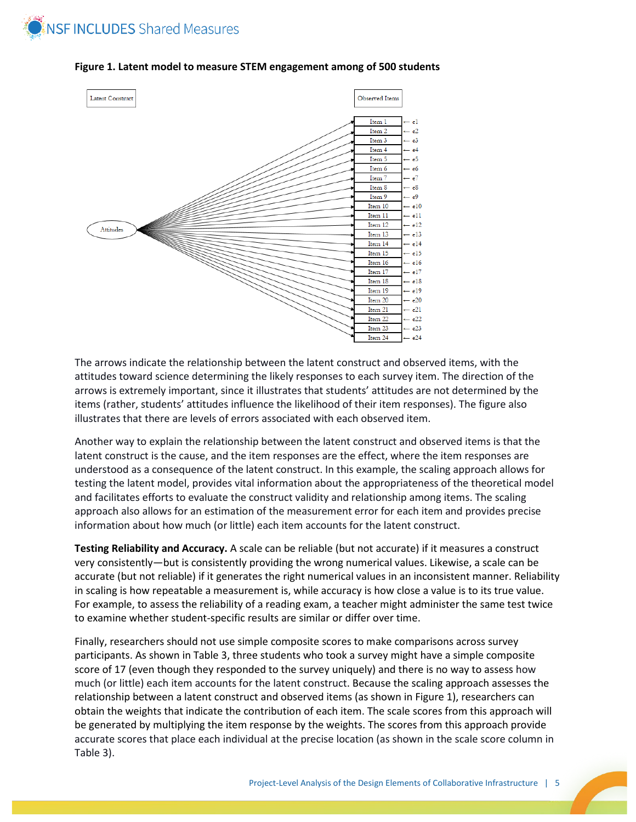



#### **Figure 1. Latent model to measure STEM engagement among of 500 students**

The arrows indicate the relationship between the latent construct and observed items, with the attitudes toward science determining the likely responses to each survey item. The direction of the arrows is extremely important, since it illustrates that students' attitudes are not determined by the items (rather, students' attitudes influence the likelihood of their item responses). The figure also illustrates that there are levels of errors associated with each observed item.

Another way to explain the relationship between the latent construct and observed items is that the latent construct is the cause, and the item responses are the effect, where the item responses are understood as a consequence of the latent construct. In this example, the scaling approach allows for testing the latent model, provides vital information about the appropriateness of the theoretical model and facilitates efforts to evaluate the construct validity and relationship among items. The scaling approach also allows for an estimation of the measurement error for each item and provides precise information about how much (or little) each item accounts for the latent construct.

**Testing Reliability and Accuracy.** A scale can be reliable (but not accurate) if it measures a construct very consistently—but is consistently providing the wrong numerical values. Likewise, a scale can be accurate (but not reliable) if it generates the right numerical values in an inconsistent manner. Reliability in scaling is how repeatable a measurement is, while accuracy is how close a value is to its true value. For example, to assess the reliability of a reading exam, a teacher might administer the same test twice to examine whether student-specific results are similar or differ over time.

Finally, researchers should not use simple composite scores to make comparisons across survey participants. As shown in Table 3, three students who took a survey might have a simple composite score of 17 (even though they responded to the survey uniquely) and there is no way to assess how much (or little) each item accounts for the latent construct. Because the scaling approach assesses the relationship between a latent construct and observed items (as shown in Figure 1), researchers can obtain the weights that indicate the contribution of each item. The scale scores from this approach will be generated by multiplying the item response by the weights. The scores from this approach provide accurate scores that place each individual at the precise location (as shown in the scale score column in Table 3).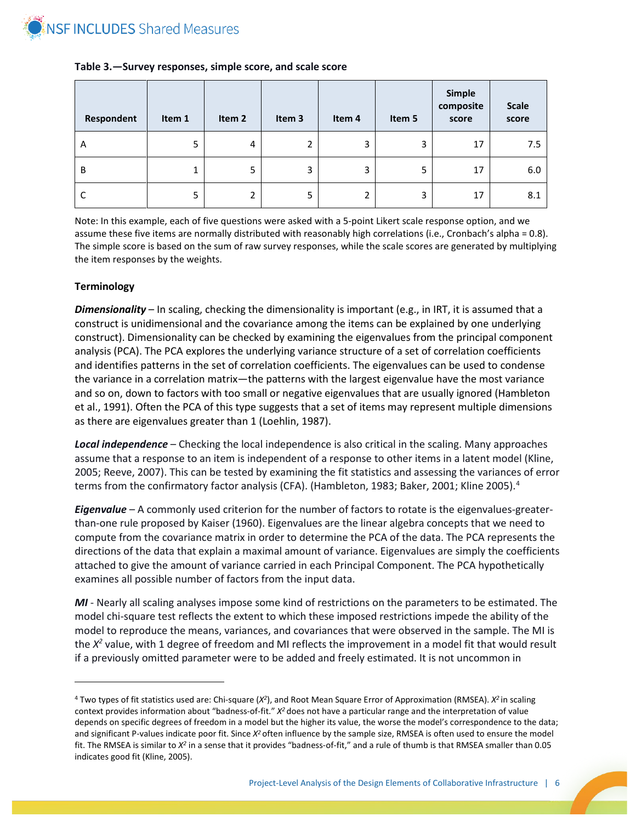

| Respondent | Item 1 | Item 2 | Item 3 | Item 4 | Item 5 | Simple<br>composite<br>score | <b>Scale</b><br>score |
|------------|--------|--------|--------|--------|--------|------------------------------|-----------------------|
| Α          | 5      | 4      | ำ      | 3      | 3      | 17                           | 7.5                   |
| B          | 1      | 5      | 3      | 3      | 5      | 17                           | 6.0                   |
|            | 5      | 2      | 5      | 2      | 3      | 17                           | 8.1                   |

#### **Table 3.—Survey responses, simple score, and scale score**

Note: In this example, each of five questions were asked with a 5-point Likert scale response option, and we assume these five items are normally distributed with reasonably high correlations (i.e., Cronbach's alpha = 0.8). The simple score is based on the sum of raw survey responses, while the scale scores are generated by multiplying the item responses by the weights.

#### **Terminology**

 $\overline{\phantom{a}}$ 

*Dimensionality* – In scaling, checking the dimensionality is important (e.g., in IRT, it is assumed that a construct is unidimensional and the covariance among the items can be explained by one underlying construct). Dimensionality can be checked by examining the eigenvalues from the principal component analysis (PCA). The PCA explores the underlying variance structure of a set of correlation coefficients and identifies patterns in the set of correlation coefficients. The eigenvalues can be used to condense the variance in a correlation matrix—the patterns with the largest eigenvalue have the most variance and so on, down to factors with too small or negative eigenvalues that are usually ignored (Hambleton et al., 1991). Often the PCA of this type suggests that a set of items may represent multiple dimensions as there are eigenvalues greater than 1 (Loehlin, 1987).

*Local independence* – Checking the local independence is also critical in the scaling. Many approaches assume that a response to an item is independent of a response to other items in a latent model (Kline, 2005; Reeve, 2007). This can be tested by examining the fit statistics and assessing the variances of error terms from the confirmatory factor analysis (CFA). (Hambleton, 1983; Baker, 2001; Kline 2005).<sup>[4](#page-5-0)</sup>

*Eigenvalue* – A commonly used criterion for the number of factors to rotate is the eigenvalues-greaterthan-one rule proposed by Kaiser (1960). Eigenvalues are the linear algebra concepts that we need to compute from the covariance matrix in order to determine the PCA of the data. The PCA represents the directions of the data that explain a maximal amount of variance. Eigenvalues are simply the coefficients attached to give the amount of variance carried in each Principal Component. The PCA hypothetically examines all possible number of factors from the input data.

*MI* - Nearly all scaling analyses impose some kind of restrictions on the parameters to be estimated. The model chi-square test reflects the extent to which these imposed restrictions impede the ability of the model to reproduce the means, variances, and covariances that were observed in the sample. The MI is the *X2* value, with 1 degree of freedom and MI reflects the improvement in a model fit that would result if a previously omitted parameter were to be added and freely estimated. It is not uncommon in

<span id="page-5-0"></span><sup>4</sup> Two types of fit statistics used are: Chi-square (*X2*), and Root Mean Square Error of Approximation (RMSEA). *X2* in scaling context provides information about "badness-of-fit." *X2* does not have a particular range and the interpretation of value depends on specific degrees of freedom in a model but the higher its value, the worse the model's correspondence to the data; and significant P-values indicate poor fit. Since *X2* often influence by the sample size, RMSEA is often used to ensure the model fit. The RMSEA is similar to *X2* in a sense that it provides "badness-of-fit," and a rule of thumb is that RMSEA smaller than 0.05 indicates good fit (Kline, 2005).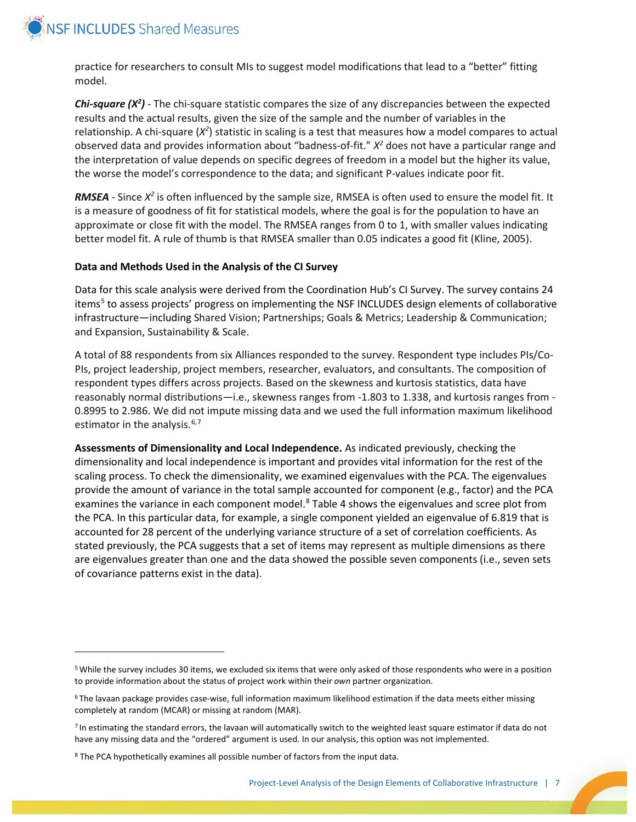

l

practice for researchers to consult MIs to suggest model modifications that lead to a "better" fitting model.

Chi-square (X<sup>2</sup>) - The chi-square statistic compares the size of any discrepancies between the expected results and the actual results, given the size of the sample and the number of variables in the relationship. A chi-square (X<sup>2</sup>) statistic in scaling is a test that measures how a model compares to actual observed data and provides information about "badness-of-fit." *X2* does not have a particular range and the interpretation of value depends on specific degrees of freedom in a model but the higher its value, the worse the model's correspondence to the data; and significant P-values indicate poor fit.

*RMSEA* - Since *X2* is often influenced by the sample size, RMSEA is often used to ensure the model fit. It is a measure of goodness of fit for statistical models, where the goal is for the population to have an approximate or close fit with the model. The RMSEA ranges from 0 to 1, with smaller values indicating better model fit. A rule of thumb is that RMSEA smaller than 0.05 indicates a good fit (Kline, 2005).

#### **Data and Methods Used in the Analysis of the CI Survey**

Data for this scale analysis were derived from the Coordination Hub's CI Survey. The survey contains 24 items<sup>[5](#page-6-0)</sup> to assess projects' progress on implementing the NSF INCLUDES design elements of collaborative infrastructure—including Shared Vision; Partnerships; Goals & Metrics; Leadership & Communication; and Expansion, Sustainability & Scale.

A total of 88 respondents from six Alliances responded to the survey. Respondent type includes PIs/Co-PIs, project leadership, project members, researcher, evaluators, and consultants. The composition of respondent types differs across projects. Based on the skewness and kurtosis statistics, data have reasonably normal distributions—i.e., skewness ranges from -1.803 to 1.338, and kurtosis ranges from - 0.8995 to 2.986. We did not impute missing data and we used the full information maximum likelihood estimator in the analysis.<sup>[6,](#page-6-1)[7](#page-6-2)</sup>

**Assessments of Dimensionality and Local Independence.** As indicated previously, checking the dimensionality and local independence is important and provides vital information for the rest of the scaling process. To check the dimensionality, we examined eigenvalues with the PCA. The eigenvalues provide the amount of variance in the total sample accounted for component (e.g., factor) and the PCA examines the variance in each component model.<sup>[8](#page-6-3)</sup> Table 4 shows the eigenvalues and scree plot from the PCA. In this particular data, for example, a single component yielded an eigenvalue of 6.819 that is accounted for 28 percent of the underlying variance structure of a set of correlation coefficients. As stated previously, the PCA suggests that a set of items may represent as multiple dimensions as there are eigenvalues greater than one and the data showed the possible seven components (i.e., seven sets of covariance patterns exist in the data).

<span id="page-6-0"></span><sup>5</sup> While the survey includes 30 items, we excluded six items that were only asked of those respondents who were in a position to provide information about the status of project work within their *own* partner organization.

<span id="page-6-1"></span> $6$ The lavaan package provides case-wise, full information maximum likelihood estimation if the data meets either missing completely at random (MCAR) or missing at random (MAR).

<span id="page-6-2"></span><sup>7</sup> In estimating the standard errors, the lavaan will automatically switch to the weighted least square estimator if data do not have any missing data and the "ordered" argument is used. In our analysis, this option was not implemented.

<span id="page-6-3"></span><sup>8</sup> The PCA hypothetically examines all possible number of factors from the input data.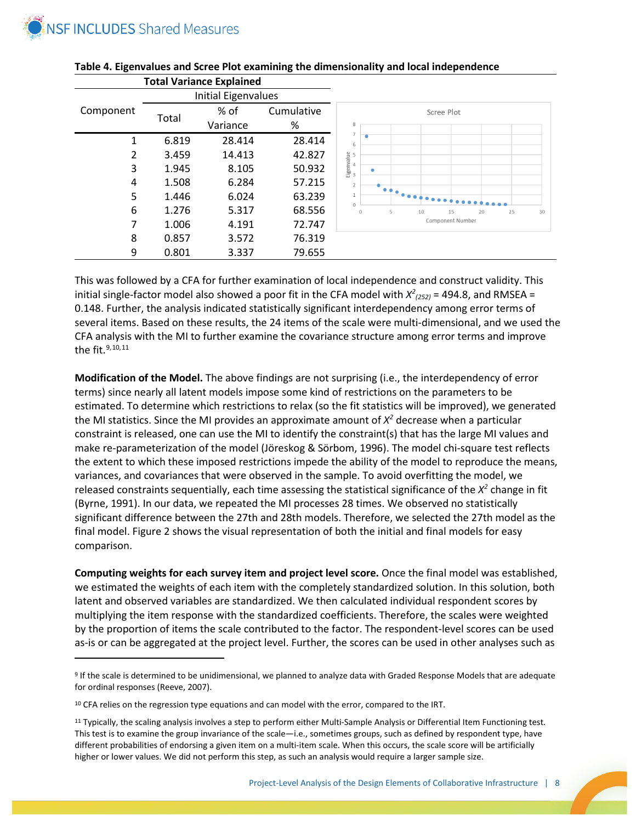

l

|           |       | <b>Total Variance Explained</b> |            |                                                       |  |  |
|-----------|-------|---------------------------------|------------|-------------------------------------------------------|--|--|
|           |       | Initial Eigenvalues             |            |                                                       |  |  |
| Component |       | % of                            | Cumulative | Scree Plot                                            |  |  |
|           | Total | Variance                        | %          | 8                                                     |  |  |
| 1         | 6.819 | 28.414                          | 28.414     | $\overline{7}$<br>6                                   |  |  |
| 2         | 3.459 | 14.413                          | 42.827     |                                                       |  |  |
| 3         | 1.945 | 8.105                           | 50.932     | ۰                                                     |  |  |
| 4         | 1.508 | 6.284                           | 57.215     | $-9.6$                                                |  |  |
| 5         | 1.446 | 6.024                           | 63.239     |                                                       |  |  |
| 6         | 1.276 | 5.317                           | 68.556     | $\circ$<br>5<br>15<br>$\circ$<br>10<br>20<br>25<br>30 |  |  |
| 7         | 1.006 | 4.191                           | 72.747     | Component Number                                      |  |  |
| 8         | 0.857 | 3.572                           | 76.319     |                                                       |  |  |
| 9         | 0.801 | 3.337                           | 79.655     |                                                       |  |  |



This was followed by a CFA for further examination of local independence and construct validity. This initial single-factor model also showed a poor fit in the CFA model with  $X^2_{(252)} = 494.8$ , and RMSEA = 0.148. Further, the analysis indicated statistically significant interdependency among error terms of several items. Based on these results, the 24 items of the scale were multi-dimensional, and we used the CFA analysis with the MI to further examine the covariance structure among error terms and improve the fit.  $9, 10, 11$  $9, 10, 11$  $9, 10, 11$  $9, 10, 11$  $9, 10, 11$ 

**Modification of the Model.** The above findings are not surprising (i.e., the interdependency of error terms) since nearly all latent models impose some kind of restrictions on the parameters to be estimated. To determine which restrictions to relax (so the fit statistics will be improved), we generated the MI statistics. Since the MI provides an approximate amount of  $X<sup>2</sup>$  decrease when a particular constraint is released, one can use the MI to identify the constraint(s) that has the large MI values and make re-parameterization of the model (Jöreskog & Sörbom, 1996). The model chi-square test reflects the extent to which these imposed restrictions impede the ability of the model to reproduce the means, variances, and covariances that were observed in the sample. To avoid overfitting the model, we released constraints sequentially, each time assessing the statistical significance of the *X2* change in fit (Byrne, 1991). In our data, we repeated the MI processes 28 times. We observed no statistically significant difference between the 27th and 28th models. Therefore, we selected the 27th model as the final model. Figure 2 shows the visual representation of both the initial and final models for easy comparison.

**Computing weights for each survey item and project level score.** Once the final model was established, we estimated the weights of each item with the completely standardized solution. In this solution, both latent and observed variables are standardized. We then calculated individual respondent scores by multiplying the item response with the standardized coefficients. Therefore, the scales were weighted by the proportion of items the scale contributed to the factor. The respondent-level scores can be used as-is or can be aggregated at the project level. Further, the scores can be used in other analyses such as

<span id="page-7-0"></span><sup>9</sup> If the scale is determined to be unidimensional, we planned to analyze data with Graded Response Models that are adequate for ordinal responses (Reeve, 2007).

<span id="page-7-1"></span><sup>&</sup>lt;sup>10</sup> CFA relies on the regression type equations and can model with the error, compared to the IRT.

<span id="page-7-2"></span><sup>&</sup>lt;sup>11</sup> Typically, the scaling analysis involves a step to perform either Multi-Sample Analysis or Differential Item Functioning test. This test is to examine the group invariance of the scale—i.e., sometimes groups, such as defined by respondent type, have different probabilities of endorsing a given item on a multi-item scale. When this occurs, the scale score will be artificially higher or lower values. We did not perform this step, as such an analysis would require a larger sample size.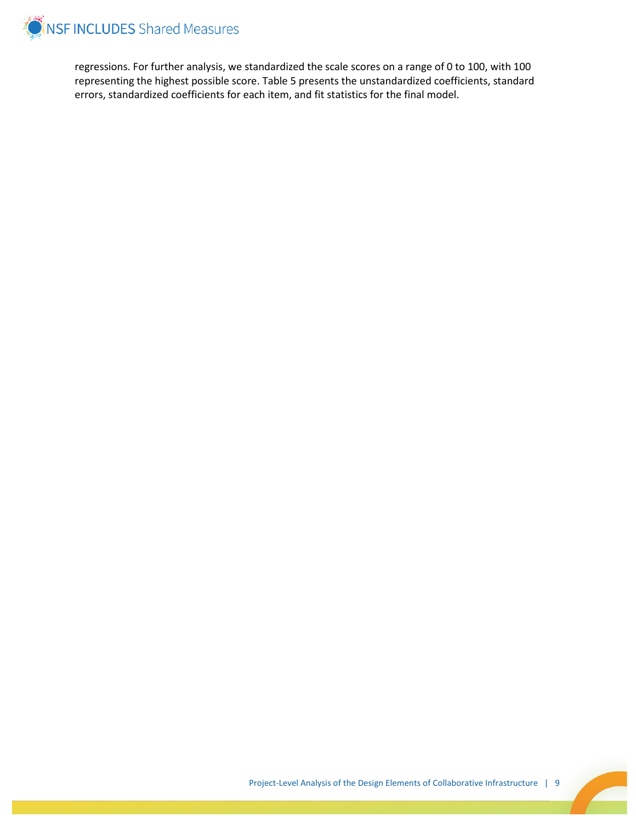

regressions. For further analysis, we standardized the scale scores on a range of 0 to 100, with 100 representing the highest possible score. Table 5 presents the unstandardized coefficients, standard errors, standardized coefficients for each item, and fit statistics for the final model.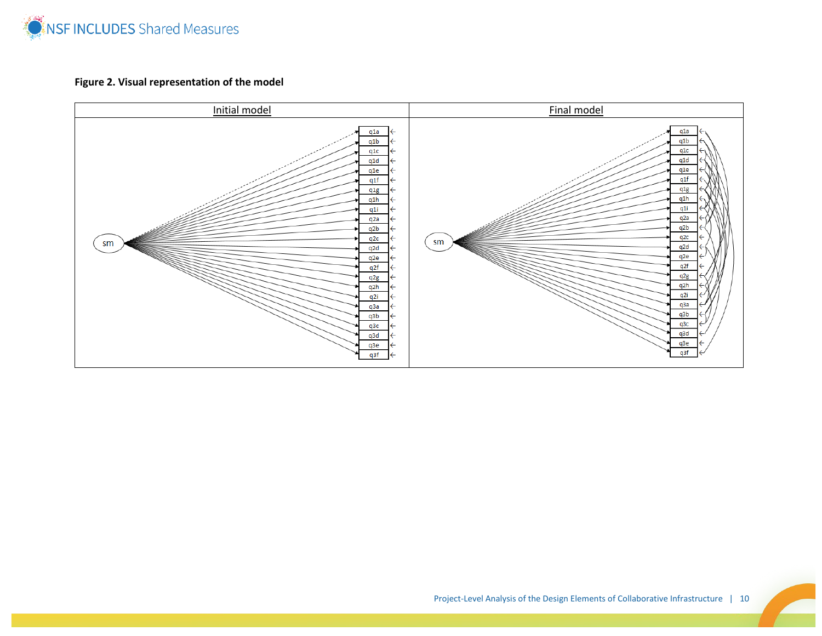

## **Figure 2. Visual representation of the model**

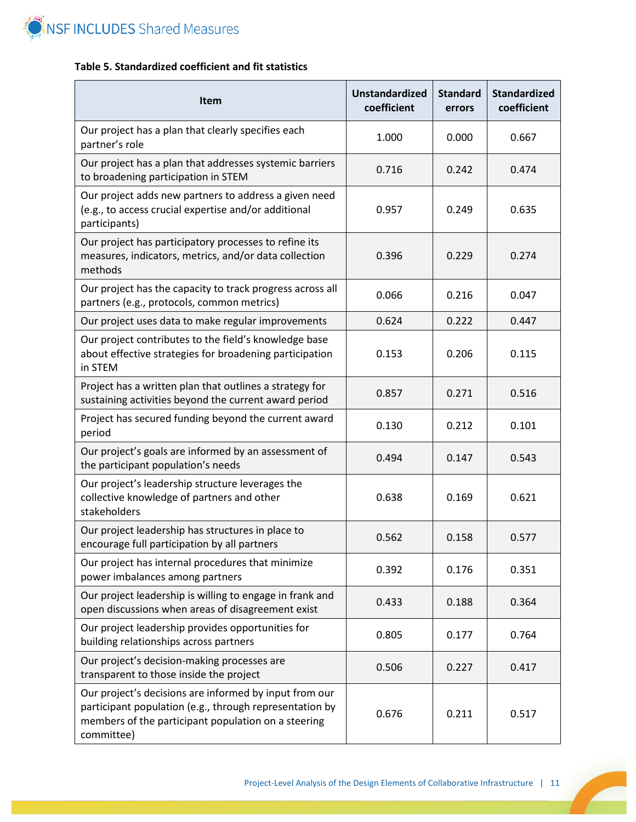

### **Table 5. Standardized coefficient and fit statistics**

| <b>Item</b>                                                                                                                                                                            | <b>Unstandardized</b><br>coefficient | <b>Standard</b><br>errors | <b>Standardized</b><br>coefficient |
|----------------------------------------------------------------------------------------------------------------------------------------------------------------------------------------|--------------------------------------|---------------------------|------------------------------------|
| Our project has a plan that clearly specifies each<br>partner's role                                                                                                                   | 1.000                                | 0.000                     | 0.667                              |
| Our project has a plan that addresses systemic barriers<br>to broadening participation in STEM                                                                                         | 0.716                                | 0.242                     | 0.474                              |
| Our project adds new partners to address a given need<br>(e.g., to access crucial expertise and/or additional<br>participants)                                                         | 0.957                                | 0.249                     | 0.635                              |
| Our project has participatory processes to refine its<br>measures, indicators, metrics, and/or data collection<br>methods                                                              | 0.396                                | 0.229                     | 0.274                              |
| Our project has the capacity to track progress across all<br>partners (e.g., protocols, common metrics)                                                                                | 0.066                                | 0.216                     | 0.047                              |
| Our project uses data to make regular improvements                                                                                                                                     | 0.624                                | 0.222                     | 0.447                              |
| Our project contributes to the field's knowledge base<br>about effective strategies for broadening participation<br>in STEM                                                            | 0.153                                | 0.206                     | 0.115                              |
| Project has a written plan that outlines a strategy for<br>sustaining activities beyond the current award period                                                                       | 0.857                                | 0.271                     | 0.516                              |
| Project has secured funding beyond the current award<br>period                                                                                                                         | 0.130                                | 0.212                     | 0.101                              |
| Our project's goals are informed by an assessment of<br>the participant population's needs                                                                                             | 0.494                                | 0.147                     | 0.543                              |
| Our project's leadership structure leverages the<br>collective knowledge of partners and other<br>stakeholders                                                                         | 0.638                                | 0.169                     | 0.621                              |
| Our project leadership has structures in place to<br>encourage full participation by all partners                                                                                      | 0.562                                | 0.158                     | 0.577                              |
| Our project has internal procedures that minimize<br>power imbalances among partners                                                                                                   | 0.392                                | 0.176                     | 0.351                              |
| Our project leadership is willing to engage in frank and<br>open discussions when areas of disagreement exist                                                                          | 0.433                                | 0.188                     | 0.364                              |
| Our project leadership provides opportunities for<br>building relationships across partners                                                                                            | 0.805                                | 0.177                     | 0.764                              |
| Our project's decision-making processes are<br>transparent to those inside the project                                                                                                 | 0.506                                | 0.227                     | 0.417                              |
| Our project's decisions are informed by input from our<br>participant population (e.g., through representation by<br>members of the participant population on a steering<br>committee) | 0.676                                | 0.211                     | 0.517                              |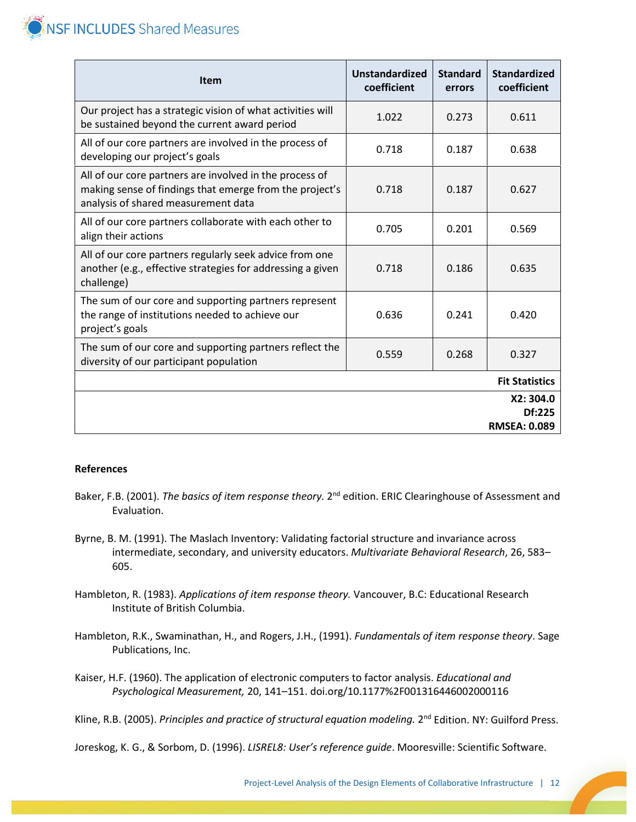

| <b>Item</b>                                                                                                                                               | <b>Unstandardized</b><br>coefficient | <b>Standard</b><br>errors | <b>Standardized</b><br>coefficient        |
|-----------------------------------------------------------------------------------------------------------------------------------------------------------|--------------------------------------|---------------------------|-------------------------------------------|
| Our project has a strategic vision of what activities will<br>be sustained beyond the current award period                                                | 1.022                                | 0.273                     | 0.611                                     |
| All of our core partners are involved in the process of<br>developing our project's goals                                                                 | 0.718                                | 0.187                     | 0.638                                     |
| All of our core partners are involved in the process of<br>making sense of findings that emerge from the project's<br>analysis of shared measurement data | 0.718                                | 0.187                     | 0.627                                     |
| All of our core partners collaborate with each other to<br>align their actions                                                                            | 0.705                                | 0.201                     | 0.569                                     |
| All of our core partners regularly seek advice from one<br>another (e.g., effective strategies for addressing a given<br>challenge)                       | 0.718                                | 0.186                     | 0.635                                     |
| The sum of our core and supporting partners represent<br>the range of institutions needed to achieve our<br>project's goals                               | 0.636                                | 0.241                     | 0.420                                     |
| The sum of our core and supporting partners reflect the<br>diversity of our participant population                                                        | 0.559                                | 0.268                     | 0.327                                     |
|                                                                                                                                                           |                                      |                           | <b>Fit Statistics</b>                     |
|                                                                                                                                                           |                                      |                           | X2:304.0<br>Df:225<br><b>RMSEA: 0.089</b> |

#### **References**

- Baker, F.B. (2001). *The basics of item response theory.* 2nd edition. ERIC Clearinghouse of Assessment and Evaluation.
- Byrne, B. M. (1991). The Maslach Inventory: Validating factorial structure and invariance across intermediate, secondary, and university educators. *Multivariate Behavioral Research*, 26, 583– 605.
- Hambleton, R. (1983). *Applications of item response theory.* Vancouver, B.C: Educational Research Institute of British Columbia.
- Hambleton, R.K., Swaminathan, H., and Rogers, J.H., (1991). *Fundamentals of item response theory*. Sage Publications, Inc.
- Kaiser, H.F. (1960). The application of electronic computers to factor analysis. *Educational and Psychological Measurement,* 20, 141–151. doi.org/10.1177%2F001316446002000116

Kline, R.B. (2005). *Principles and practice of structural equation modeling.* 2<sup>nd</sup> Edition. NY: Guilford Press.

Joreskog, K. G., & Sorbom, D. (1996). *LISREL8: User's reference guide*. Mooresville: Scientific Software.